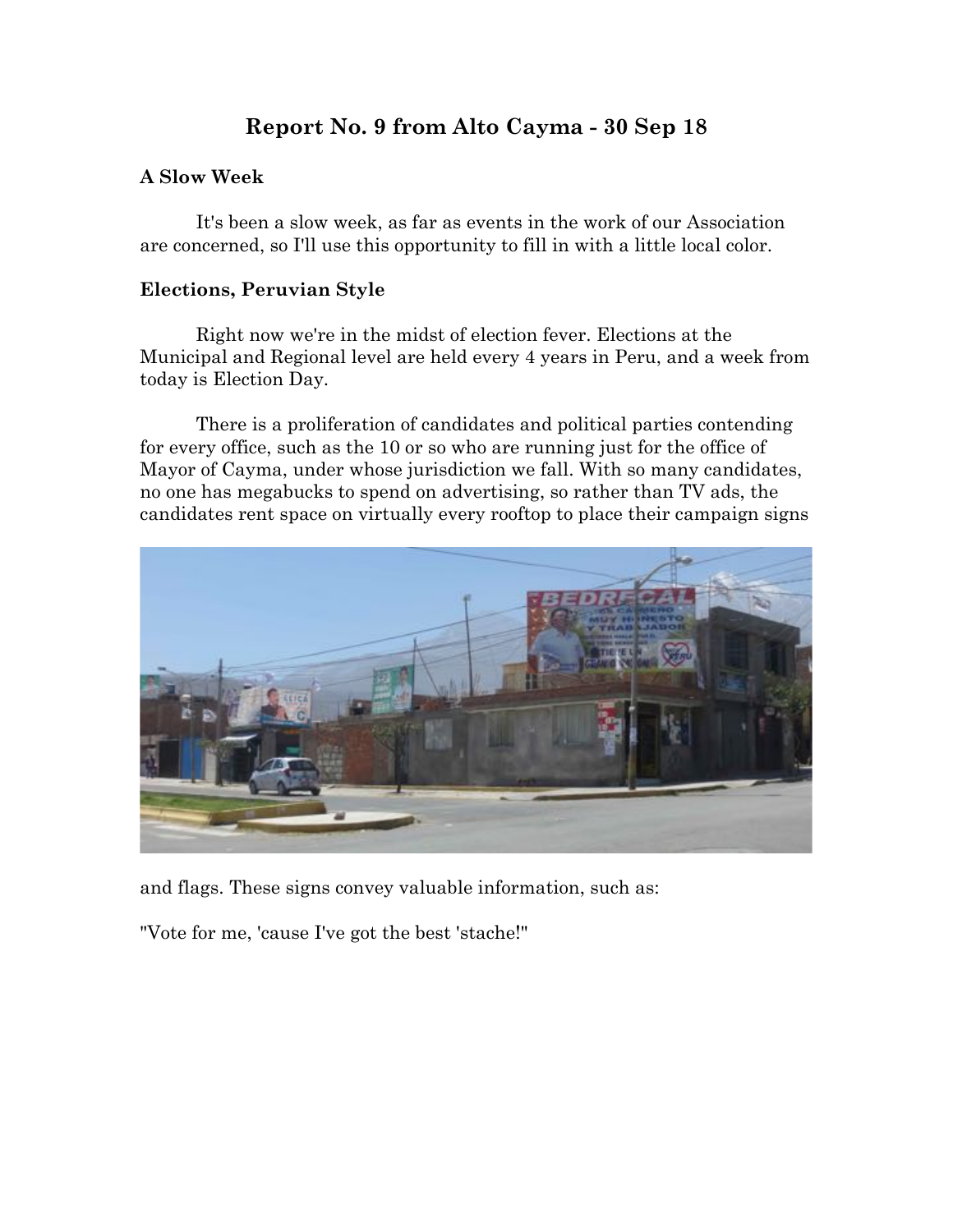## **Report No. 9 from Alto Cayma - 30 Sep 18**

## **A Slow Week**

It's been a slow week, as far as events in the work of our Association are concerned, so I'll use this opportunity to fill in with a little local color.

## **Elections, Peruvian Style**

Right now we're in the midst of election fever. Elections at the Municipal and Regional level are held every 4 years in Peru, and a week from today is Election Day.

There is a proliferation of candidates and political parties contending for every office, such as the 10 or so who are running just for the office of Mayor of Cayma, under whose jurisdiction we fall. With so many candidates, no one has megabucks to spend on advertising, so rather than TV ads, the candidates rent space on virtually every rooftop to place their campaign signs



and flags. These signs convey valuable information, such as:

"Vote for me, 'cause I've got the best 'stache!"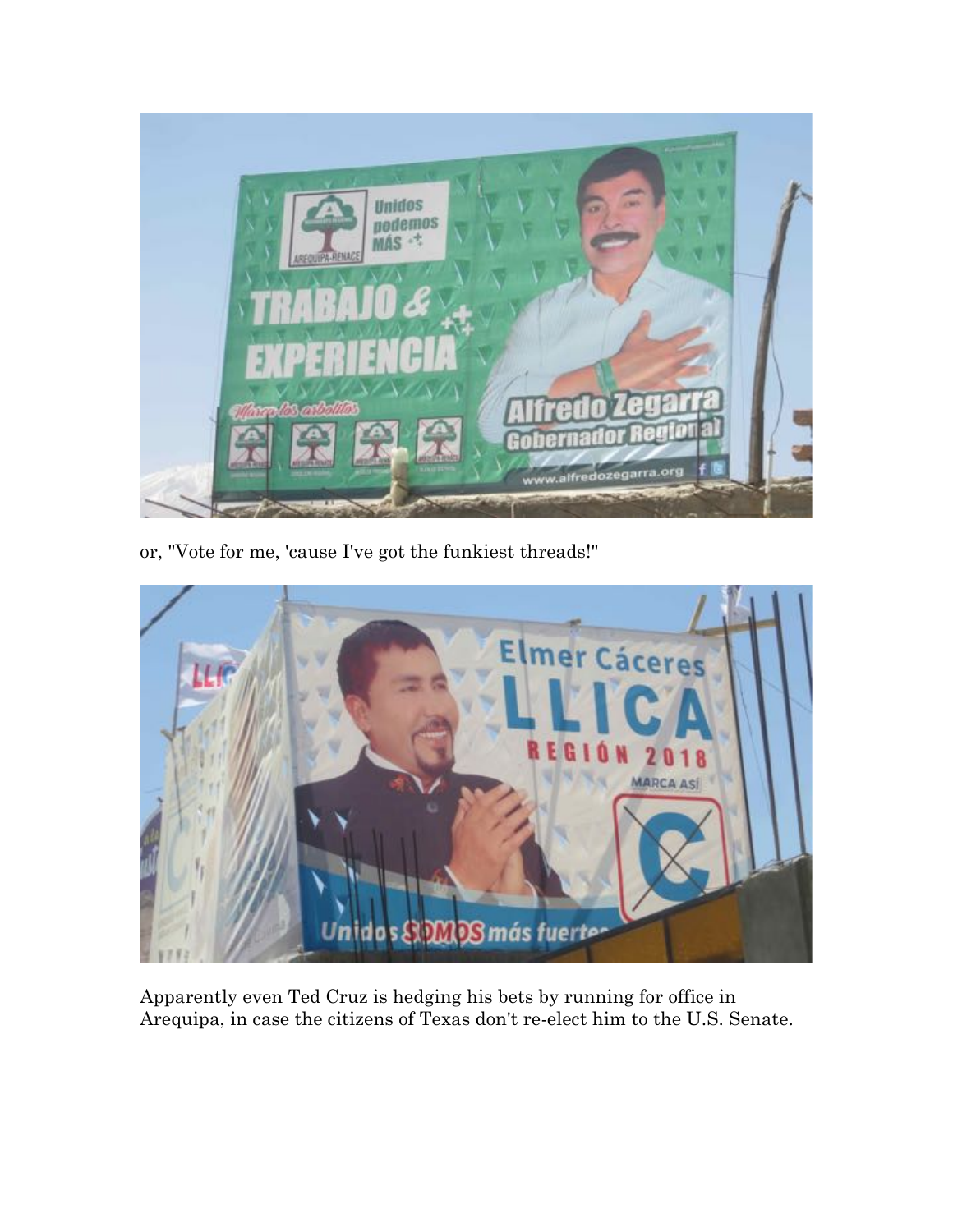

or, "Vote for me, 'cause I've got the funkiest threads!"



Apparently even Ted Cruz is hedging his bets by running for office in Arequipa, in case the citizens of Texas don't re-elect him to the U.S. Senate.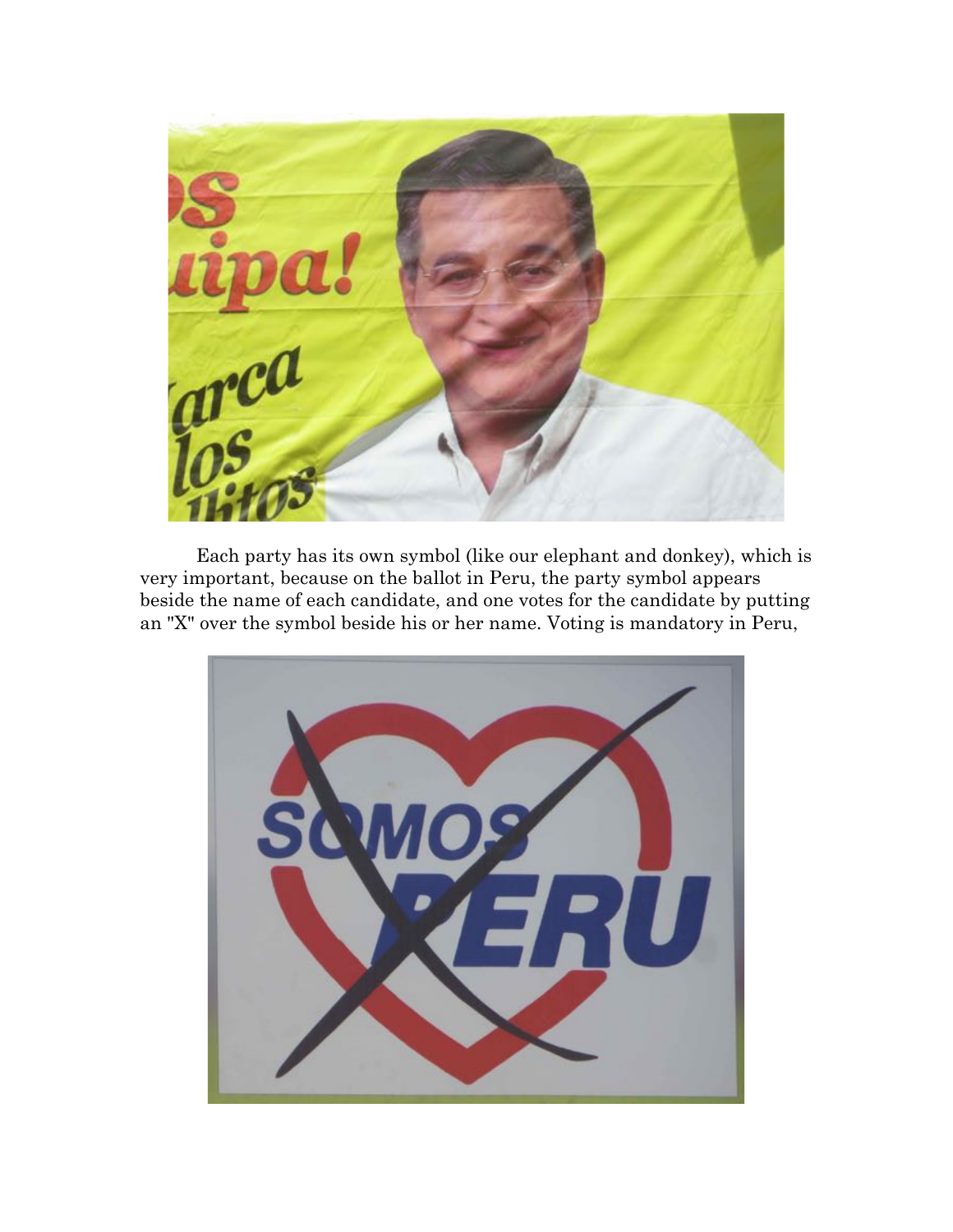

Each party has its own symbol (like our elephant and donkey), which is very important, because on the ballot in Peru, the party symbol appears beside the name of each candidate, and one votes for the candidate by putting an "X" over the symbol beside his or her name. Voting is mandatory in Peru,

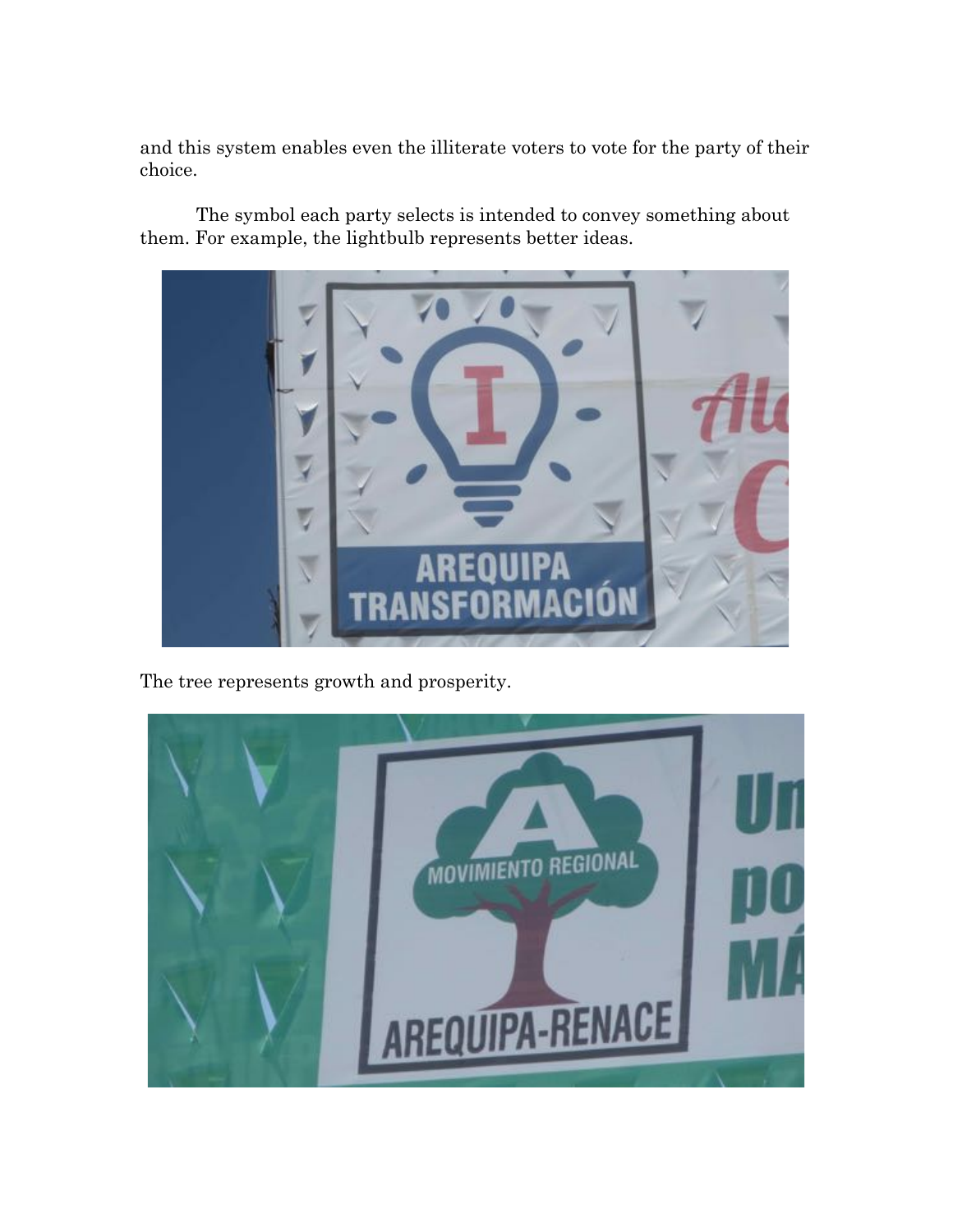and this system enables even the illiterate voters to vote for the party of their choice.

The symbol each party selects is intended to convey something about them. For example, the lightbulb represents better ideas.



The tree represents growth and prosperity.

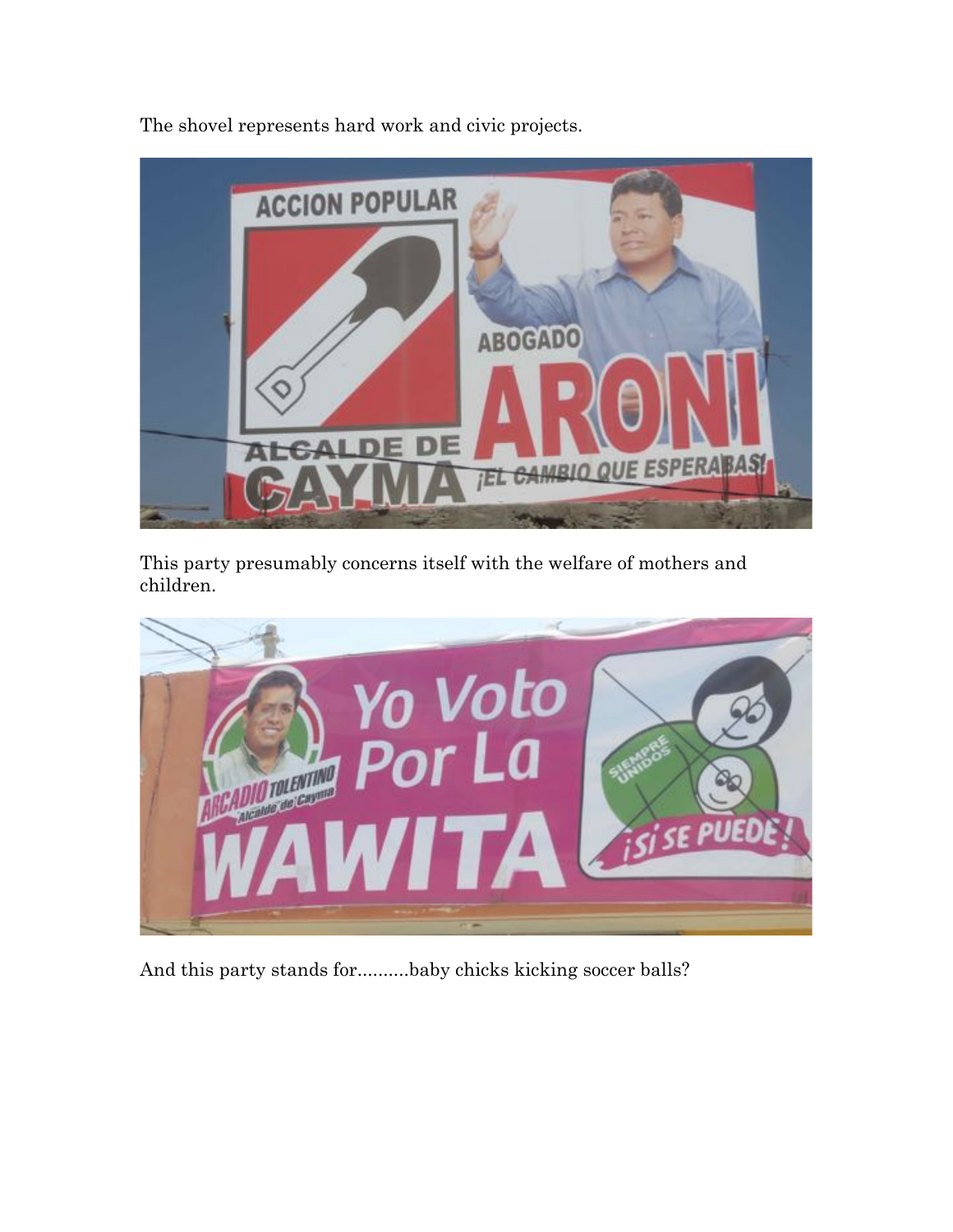



This party presumably concerns itself with the welfare of mothers and children.



And this party stands for..........baby chicks kicking soccer balls?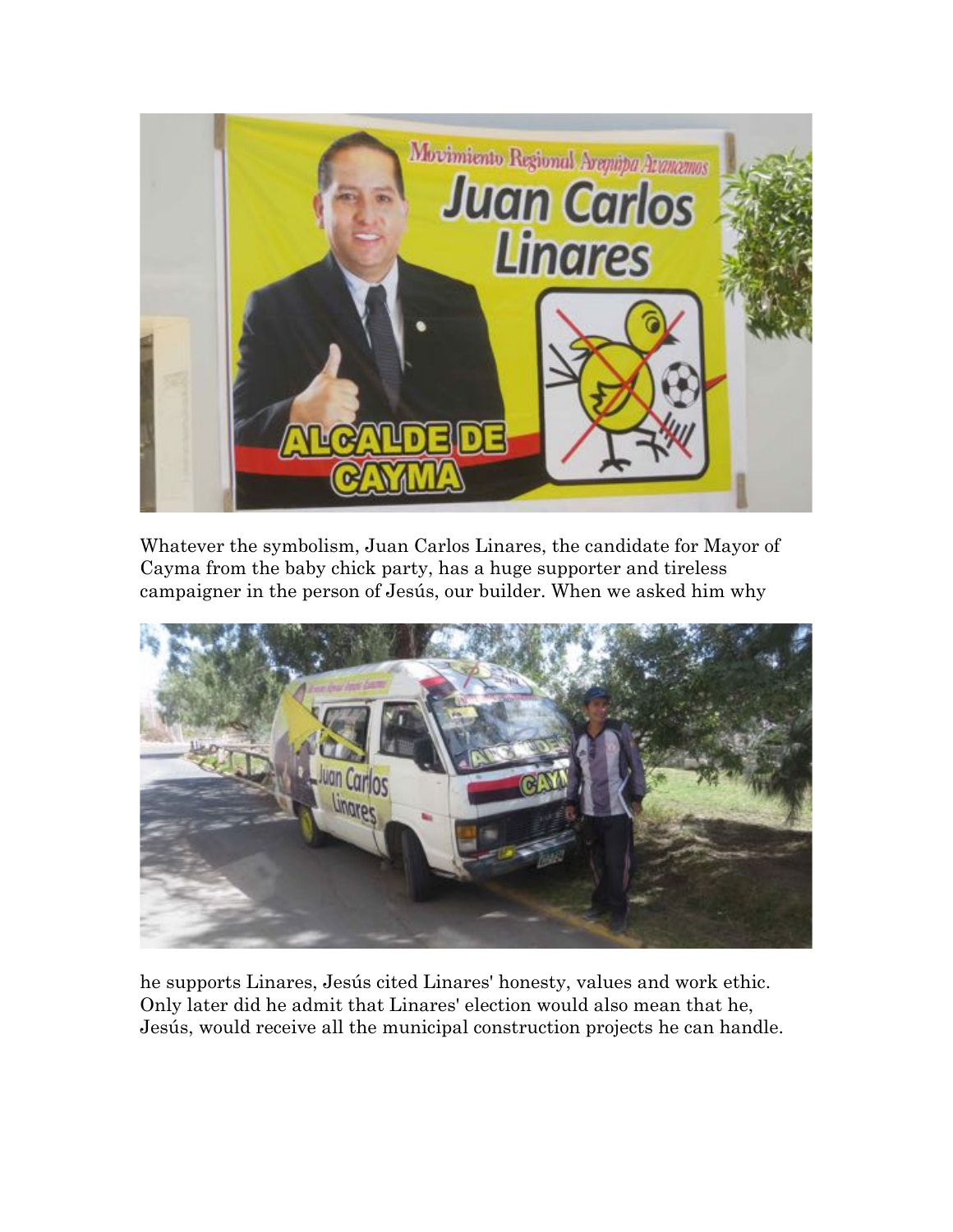

Whatever the symbolism, Juan Carlos Linares, the candidate for Mayor of Cayma from the baby chick party, has a huge supporter and tireless campaigner in the person of Jesús, our builder. When we asked him why



he supports Linares, Jesús cited Linares' honesty, values and work ethic. Only later did he admit that Linares' election would also mean that he, Jesús, would receive all the municipal construction projects he can handle.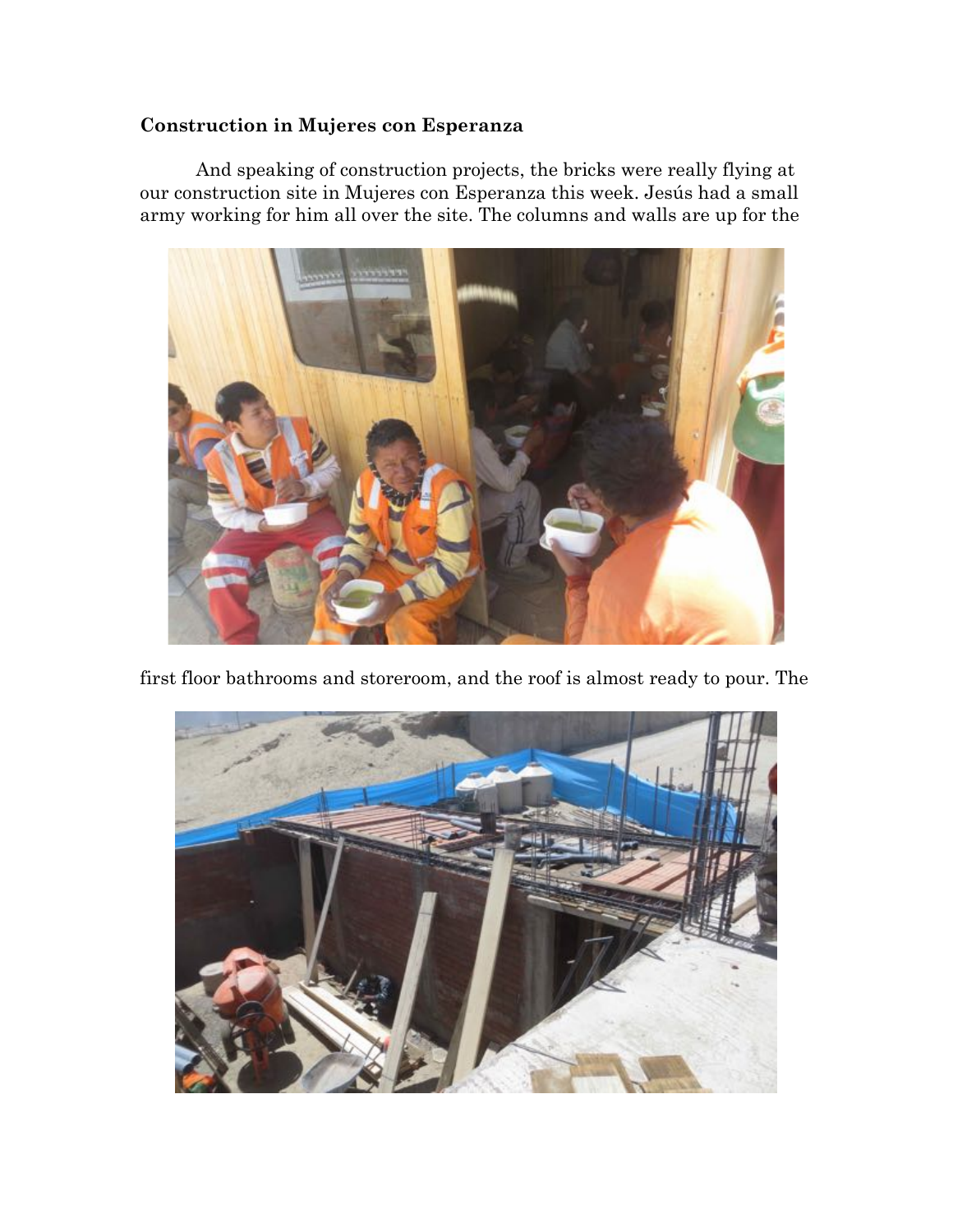## **Construction in Mujeres con Esperanza**

And speaking of construction projects, the bricks were really flying at our construction site in Mujeres con Esperanza this week. Jesús had a small army working for him all over the site. The columns and walls are up for the



first floor bathrooms and storeroom, and the roof is almost ready to pour. The

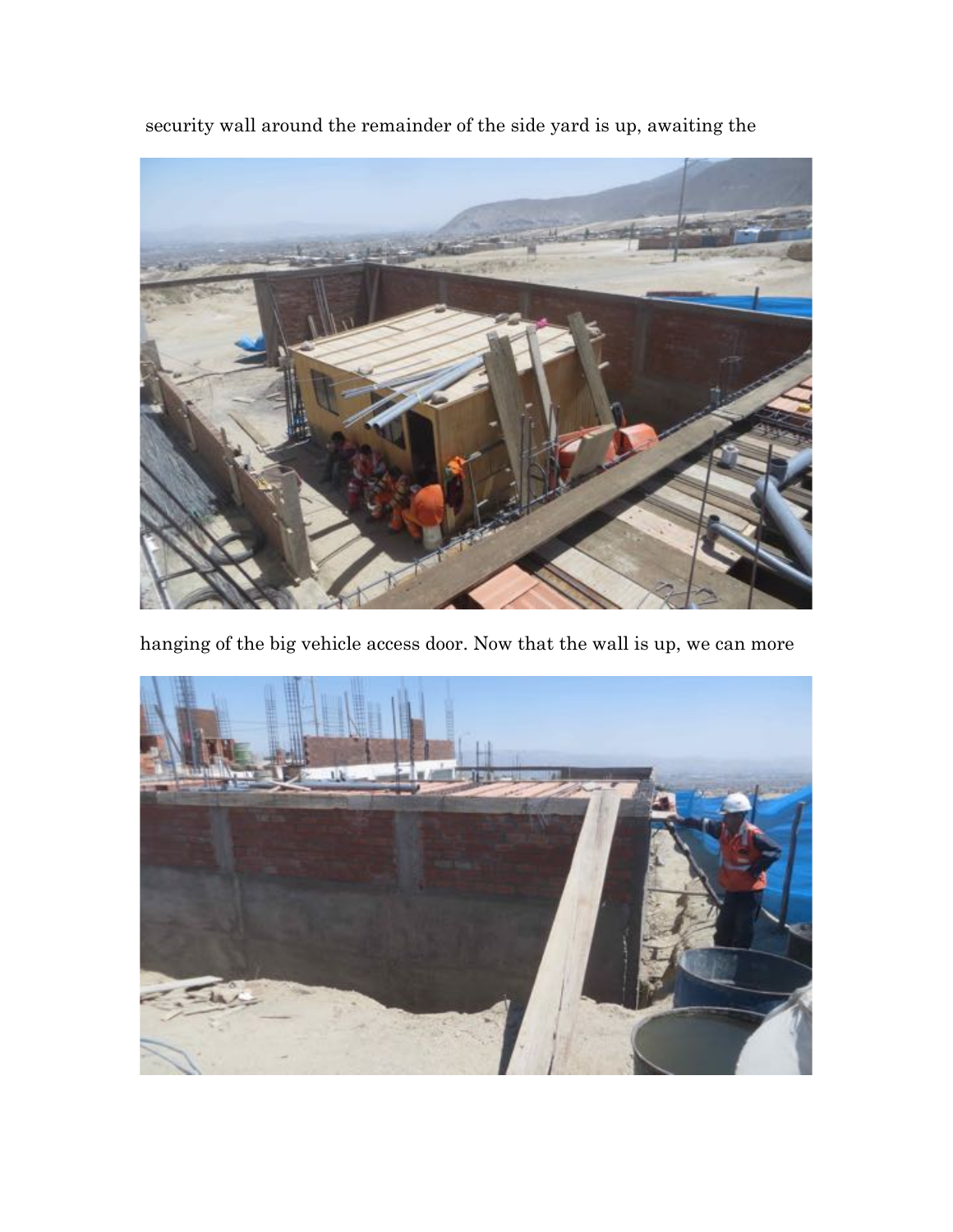security wall around the remainder of the side yard is up, awaiting the



hanging of the big vehicle access door. Now that the wall is up, we can more